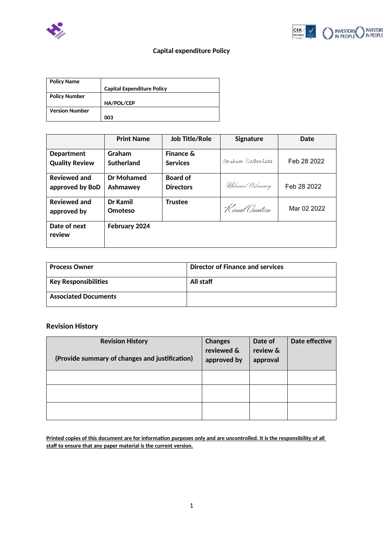



## **Capital expenditure Policy**

| <b>Policy Name</b>    |                                   |
|-----------------------|-----------------------------------|
|                       | <b>Capital Expenditure Policy</b> |
| <b>Policy Number</b>  |                                   |
|                       | HA/POL/CEP                        |
| <b>Version Number</b> |                                   |
|                       | 003                               |

|                                            | <b>Print Name</b>           | <b>Job Title/Role</b>                   | <b>Signature</b>  | Date        |
|--------------------------------------------|-----------------------------|-----------------------------------------|-------------------|-------------|
| <b>Department</b><br><b>Quality Review</b> | Graham<br><b>Sutherland</b> | <b>Finance &amp;</b><br><b>Services</b> | Graham Sutherland | Feb 28 2022 |
| <b>Reviewed and</b><br>approved by BoD     | Dr Mohamed<br>Ashmawey      | <b>Board of</b><br><b>Directors</b>     | Mohamed Ashmawey  | Feb 28 2022 |
| <b>Reviewed and</b><br>approved by         | Dr Kamil<br>Omoteso         | <b>Trustee</b>                          | Kamil Omoteso     | Mar 02 2022 |
| Date of next<br>review                     | February 2024               |                                         |                   |             |

| <b>Process Owner</b>                 | <b>Director of Finance and services</b> |
|--------------------------------------|-----------------------------------------|
| $^{\mathrm{!}}$ Key Responsibilities | All staff                               |
| <b>Associated Documents</b>          |                                         |

## **Revision History**

| <b>Revision History</b><br>(Provide summary of changes and justification) | <b>Changes</b><br>reviewed &<br>approved by | Date of<br>review &<br>approval | Date effective |
|---------------------------------------------------------------------------|---------------------------------------------|---------------------------------|----------------|
|                                                                           |                                             |                                 |                |
|                                                                           |                                             |                                 |                |
|                                                                           |                                             |                                 |                |

**Printed copies of this document are for information purposes only and are uncontrolled. It is the responsibility of all staff to ensure that any paper material is the current version.**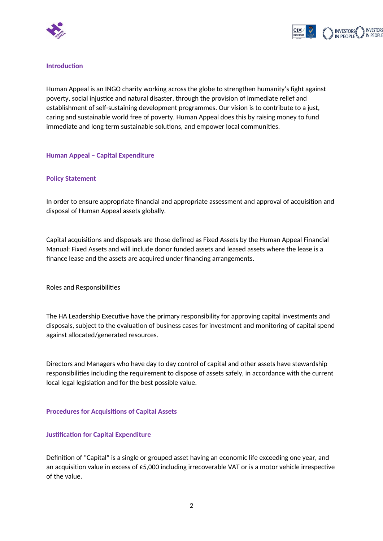



#### **Introduction**

Human Appeal is an INGO charity working across the globe to strengthen humanity's fight against poverty, social injustice and natural disaster, through the provision of immediate relief and establishment of self-sustaining development programmes. Our vision is to contribute to a just, caring and sustainable world free of poverty. Human Appeal does this by raising money to fund immediate and long term sustainable solutions, and empower local communities.

#### **Human Appeal – Capital Expenditure**

#### **Policy Statement**

In order to ensure appropriate financial and appropriate assessment and approval of acquisition and disposal of Human Appeal assets globally.

Capital acquisitions and disposals are those defined as Fixed Assets by the Human Appeal Financial Manual: Fixed Assets and will include donor funded assets and leased assets where the lease is a finance lease and the assets are acquired under financing arrangements.

Roles and Responsibilities

The HA Leadership Executive have the primary responsibility for approving capital investments and disposals, subject to the evaluation of business cases for investment and monitoring of capital spend against allocated/generated resources.

Directors and Managers who have day to day control of capital and other assets have stewardship responsibilities including the requirement to dispose of assets safely, in accordance with the current local legal legislation and for the best possible value.

#### **Procedures for Acquisitions of Capital Assets**

#### **Justification for Capital Expenditure**

Definition of "Capital" is a single or grouped asset having an economic life exceeding one year, and an acquisition value in excess of £5,000 including irrecoverable VAT or is a motor vehicle irrespective of the value.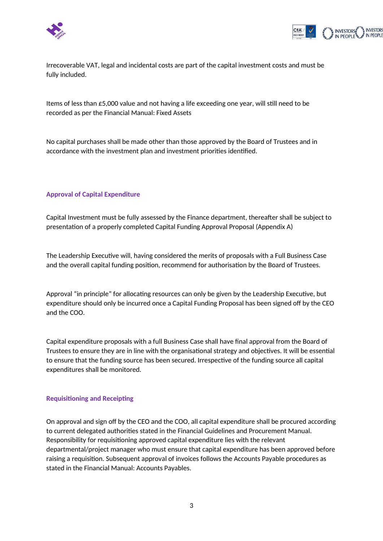



Irrecoverable VAT, legal and incidental costs are part of the capital investment costs and must be fully included.

Items of less than £5,000 value and not having a life exceeding one year, will still need to be recorded as per the Financial Manual: Fixed Assets

No capital purchases shall be made other than those approved by the Board of Trustees and in accordance with the investment plan and investment priorities identified.

#### **Approval of Capital Expenditure**

Capital Investment must be fully assessed by the Finance department, thereafter shall be subject to presentation of a properly completed Capital Funding Approval Proposal (Appendix A)

The Leadership Executive will, having considered the merits of proposals with a Full Business Case and the overall capital funding position, recommend for authorisation by the Board of Trustees.

Approval "in principle" for allocating resources can only be given by the Leadership Executive, but expenditure should only be incurred once a Capital Funding Proposal has been signed off by the CEO and the COO.

Capital expenditure proposals with a full Business Case shall have final approval from the Board of Trustees to ensure they are in line with the organisational strategy and objectives. It will be essential to ensure that the funding source has been secured. Irrespective of the funding source all capital expenditures shall be monitored.

#### **Requisitioning and Receipting**

On approval and sign off by the CEO and the COO, all capital expenditure shall be procured according to current delegated authorities stated in the Financial Guidelines and Procurement Manual. Responsibility for requisitioning approved capital expenditure lies with the relevant departmental/project manager who must ensure that capital expenditure has been approved before raising a requisition. Subsequent approval of invoices follows the Accounts Payable procedures as stated in the Financial Manual: Accounts Payables.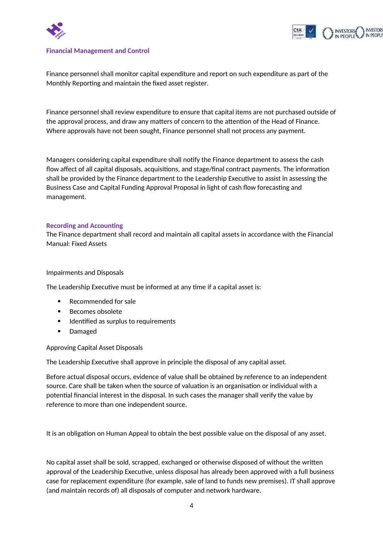



#### **Financial Management and Control**

Finance personnel shall monitor capital expenditure and report on such expenditure as part of the Monthly Reporting and maintain the fixed asset register.

Finance personnel shall review expenditure to ensure that capital items are not purchased outside of the approval process, and draw any matters of concern to the attention of the Head of Finance. Where approvals have not been sought, Finance personnel shall not process any payment.

Managers considering capital expenditure shall notify the Finance department to assess the cash flow affect of all capital disposals, acquisitions, and stage/final contract payments. The information shall be provided by the Finance department to the Leadership Executive to assist in assessing the Business Case and Capital Funding Approval Proposal in light of cash flow forecasting and management.

#### **Recording and Accounting**

The Finance department shall record and maintain all capital assets in accordance with the Financial Manual: Fixed Assets

#### Impairments and Disposals

The Leadership Executive must be informed at any time if a capital asset is:

- Recommended for sale
- Becomes obsolete
- Identified as surplus to requirements
- Damaged

Approving Capital Asset Disposals

The Leadership Executive shall approve in principle the disposal of any capital asset.

Before actual disposal occurs, evidence of value shall be obtained by reference to an independent source. Care shall be taken when the source of valuation is an organisation or individual with a potential financial interest in the disposal. In such cases the manager shall verify the value by reference to more than one independent source.

It is an obligation on Human Appeal to obtain the best possible value on the disposal of any asset.

No capital asset shall be sold, scrapped, exchanged or otherwise disposed of without the written approval of the Leadership Executive, unless disposal has already been approved with a full business case for replacement expenditure (for example, sale of land to funds new premises). IT shall approve (and maintain records of) all disposals of computer and network hardware.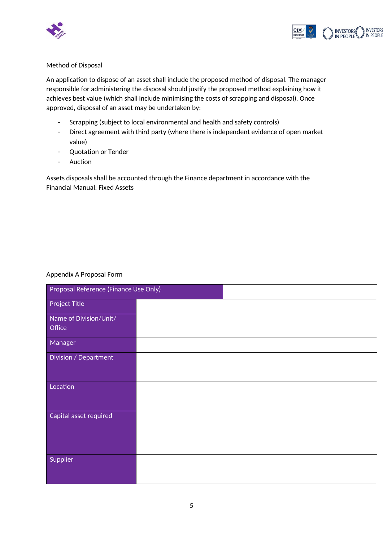



#### Method of Disposal

An application to dispose of an asset shall include the proposed method of disposal. The manager responsible for administering the disposal should justify the proposed method explaining how it achieves best value (which shall include minimising the costs of scrapping and disposal). Once approved, disposal of an asset may be undertaken by:

- Scrapping (subject to local environmental and health and safety controls)
- Direct agreement with third party (where there is independent evidence of open market value)
- Quotation or Tender
- Auction

Assets disposals shall be accounted through the Finance department in accordance with the Financial Manual: Fixed Assets

#### Appendix A Proposal Form

| Proposal Reference (Finance Use Only) |  |  |
|---------------------------------------|--|--|
| <b>Project Title</b>                  |  |  |
| Name of Division/Unit/                |  |  |
| Office                                |  |  |
| Manager                               |  |  |
| Division / Department                 |  |  |
|                                       |  |  |
| Location                              |  |  |
|                                       |  |  |
| Capital asset required                |  |  |
|                                       |  |  |
|                                       |  |  |
| Supplier                              |  |  |
|                                       |  |  |
|                                       |  |  |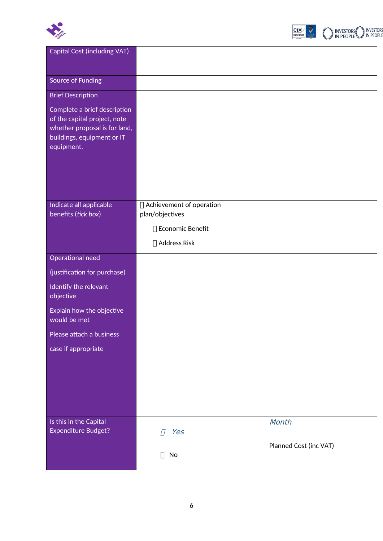



| <b>Capital Cost (including VAT)</b>                          |                            |                        |
|--------------------------------------------------------------|----------------------------|------------------------|
|                                                              |                            |                        |
| <b>Source of Funding</b>                                     |                            |                        |
|                                                              |                            |                        |
| <b>Brief Description</b>                                     |                            |                        |
| Complete a brief description<br>of the capital project, note |                            |                        |
| whether proposal is for land,                                |                            |                        |
| buildings, equipment or IT                                   |                            |                        |
| equipment.                                                   |                            |                        |
|                                                              |                            |                        |
|                                                              |                            |                        |
|                                                              |                            |                        |
| Indicate all applicable                                      | □ Achievement of operation |                        |
| benefits (tick box)                                          | plan/objectives            |                        |
|                                                              | □ Economic Benefit         |                        |
|                                                              | □ Address Risk             |                        |
| Operational need                                             |                            |                        |
| (justification for purchase)                                 |                            |                        |
| Identify the relevant<br>objective                           |                            |                        |
| Explain how the objective<br>would be met                    |                            |                        |
| Please attach a business                                     |                            |                        |
| case if appropriate                                          |                            |                        |
|                                                              |                            |                        |
|                                                              |                            |                        |
|                                                              |                            |                        |
|                                                              |                            |                        |
|                                                              |                            |                        |
| Is this in the Capital<br><b>Expenditure Budget?</b>         | Yes                        | Month                  |
|                                                              |                            | Planned Cost (inc VAT) |
|                                                              | $\Box$ No                  |                        |
|                                                              |                            |                        |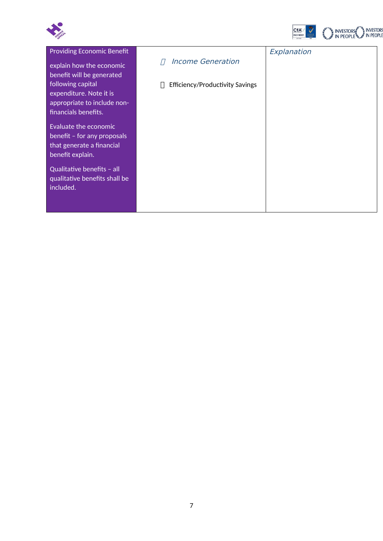



| <b>Providing Economic Benefit</b><br>explain how the economic                                                                    | <b>Income Generation</b>               | Explanation |
|----------------------------------------------------------------------------------------------------------------------------------|----------------------------------------|-------------|
| benefit will be generated<br>following capital<br>expenditure. Note it is<br>appropriate to include non-<br>financials benefits. | <b>Efficiency/Productivity Savings</b> |             |
| Evaluate the economic<br>benefit - for any proposals<br>that generate a financial<br>benefit explain.                            |                                        |             |
| Qualitative benefits - all<br>qualitative benefits shall be<br>included.                                                         |                                        |             |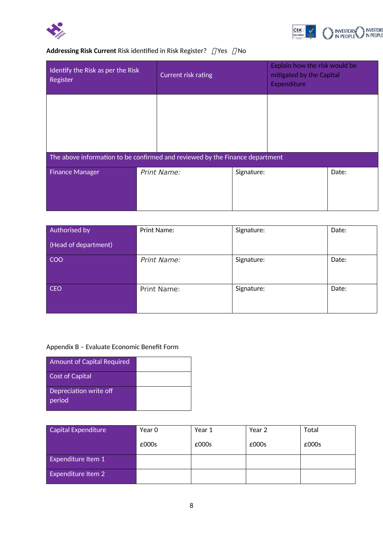



## **Addressing Risk Current** Risk identified in Risk Register?  $\Box$  Yes  $\Box$  No

| Identify the Risk as per the Risk<br>Register                                |             | <b>Current risk rating</b> |  | Explain how the risk would be<br>mitigated by the Capital<br>Expenditure |  |
|------------------------------------------------------------------------------|-------------|----------------------------|--|--------------------------------------------------------------------------|--|
|                                                                              |             |                            |  |                                                                          |  |
| The above information to be confirmed and reviewed by the Finance department |             |                            |  |                                                                          |  |
| <b>Finance Manager</b>                                                       | Print Name: | Signature:                 |  | Date:                                                                    |  |

| Authorised by        | Print Name: | Signature: | Date: |
|----------------------|-------------|------------|-------|
| (Head of department) |             |            |       |
| <b>COO</b>           | Print Name: | Signature: | Date: |
| <b>CEO</b>           | Print Name: | Signature: | Date: |

## Appendix B – Evaluate Economic Benefit Form

| <b>Amount of Capital Required</b> |  |
|-----------------------------------|--|
| Cost of Capital                   |  |
| Depreciation write off<br>period  |  |

| <b>Capital Expenditure</b> | Year 0 | Year 1 | Year 2 | Total |
|----------------------------|--------|--------|--------|-------|
|                            | £000s  | £000s  | £000s  | £000s |
| Expenditure Item 1         |        |        |        |       |
| Expenditure Item 2         |        |        |        |       |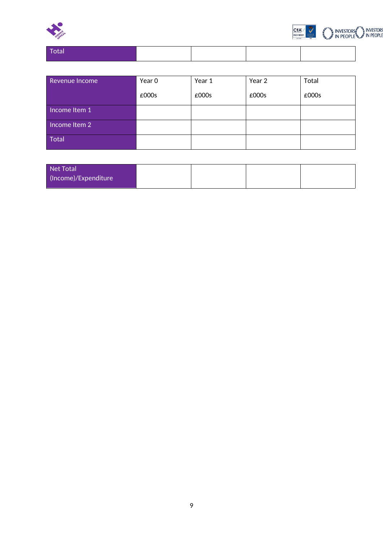



| .<br>$-$ |  |  |
|----------|--|--|
|          |  |  |

| Revenue Income       | Year 0 | Year 1 | Year 2 | Total |
|----------------------|--------|--------|--------|-------|
|                      | £000s  | £000s  | £000s  | £000s |
| Income Item 1        |        |        |        |       |
| $line$ Income Item 2 |        |        |        |       |
| Total                |        |        |        |       |

| Net Total            |  |  |
|----------------------|--|--|
| (Income)/Expenditure |  |  |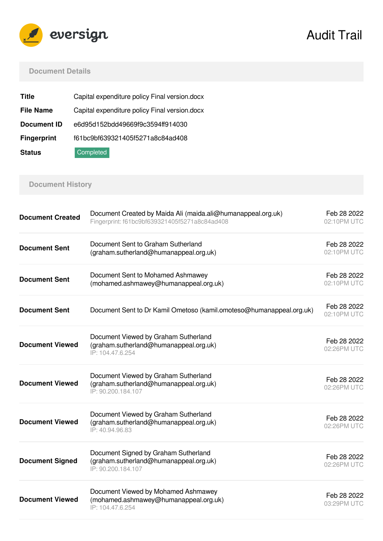

# Audit Trail

#### **Document Details**

| Title              | Capital expenditure policy Final version.docx |  |  |
|--------------------|-----------------------------------------------|--|--|
| <b>File Name</b>   | Capital expenditure policy Final version.docx |  |  |
| <b>Document ID</b> | e6d95d152bdd49669f9c3594ff914030              |  |  |
| <b>Fingerprint</b> | f61bc9bf639321405f5271a8c84ad408              |  |  |
| <b>Status</b>      | Completed                                     |  |  |

## **Document History**

| <b>Document Created</b> | Document Created by Maida Ali (maida.ali@humanappeal.org.uk)<br>Fingerprint: f61bc9bf639321405f5271a8c84ad408 | Feb 28 2022<br>02:10PM UTC |
|-------------------------|---------------------------------------------------------------------------------------------------------------|----------------------------|
| <b>Document Sent</b>    | Document Sent to Graham Sutherland<br>(graham.sutherland@humanappeal.org.uk)                                  | Feb 28 2022<br>02:10PM UTC |
| <b>Document Sent</b>    | Document Sent to Mohamed Ashmawey<br>(mohamed.ashmawey@humanappeal.org.uk)                                    | Feb 28 2022<br>02:10PM UTC |
| <b>Document Sent</b>    | Document Sent to Dr Kamil Ometoso (kamil.omoteso@humanappeal.org.uk)                                          | Feb 28 2022<br>02:10PM UTC |
| <b>Document Viewed</b>  | Document Viewed by Graham Sutherland<br>(graham.sutherland@humanappeal.org.uk)<br>IP: 104.47.6.254            | Feb 28 2022<br>02:26PM UTC |
| <b>Document Viewed</b>  | Document Viewed by Graham Sutherland<br>(graham.sutherland@humanappeal.org.uk)<br>IP: 90.200.184.107          | Feb 28 2022<br>02:26PM UTC |
| <b>Document Viewed</b>  | Document Viewed by Graham Sutherland<br>(graham.sutherland@humanappeal.org.uk)<br>IP: 40.94.96.83             | Feb 28 2022<br>02:26PM UTC |
| <b>Document Signed</b>  | Document Signed by Graham Sutherland<br>(graham.sutherland@humanappeal.org.uk)<br>IP: 90.200.184.107          | Feb 28 2022<br>02:26PM UTC |
| <b>Document Viewed</b>  | Document Viewed by Mohamed Ashmawey<br>(mohamed.ashmawey@humanappeal.org.uk)<br>IP: 104.47.6.254              | Feb 28 2022<br>03:29PM UTC |